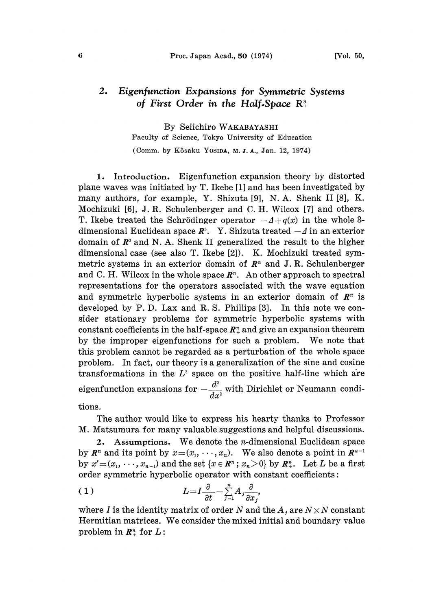## 2. Eigenfunction Expansions for Symmetric Systems of First Order in the Half-Space  $\mathbb{R}^n_+$

By Seiichiro WAKABAYASHI Faculty of Science, Tokyo University of Education (Comm. by Kôsaku Yosipa, M.J.A., Jan. 12, 1974)

1. Introduction. Eigenfunction expansion theory by distorted plane waves was initiated by T. Ikebe [1] and has been investigated by many authors, for example, Y. Shizuta [9], N.A. Shenk II [8], K. Mochizuki [6], J.R. Schulenberger and C. H. Wilcox [7] and others. T. Ikebe treated the Schrödinger operator  $-4+q(x)$  in the whole 3dimensional Euclidean space  $\mathbb{R}^3$ . Y. Shizuta treated  $-\Delta$  in an exterior domain of  $\mathbb{R}^3$  and N. A. Shenk II generalized the result to the higher dimensional case (see also T. Ikebe [2]). K. Mochizuki treated symmetric systems in an exterior domain of  $\mathbb{R}^n$  and J.R. Schulenberger and C. H. Wilcox in the whole space  $\mathbb{R}^n$ . An other approach to spectral representations for the operators associated with the wave equation and symmetric hyperbolic systems in an exterior domain of  $\mathbb{R}^n$  is developed by P. D. Lax and R. S. Phillips [3]. In this note we consider stationary problems for symmetric hyperbolic systems with constant coefficients in the half-space  $\mathbb{R}^n_+$  and give an expansion theorem<br>by the improper eigenfunctions for such a problem. We note that by the improper eigenfunctions for such a problem. this problem cannot be regarded as a perturbation of the whole space problem. In fact, our theory is a generalization of the sine and cosine transformations in the  $L^2$  space on the positive half-line which are eigenfunction expansions for  $-\frac{d^2}{dx^2}$  with Dirichlet or Neumann condi-

tions.

The author would like to express his hearty thanks to Professor M. Matsumura for many valuable suggestions and helpful discussions.

2. Assumptions. We denote the n-dimensional Euclidean space by  $\mathbb{R}^n$  and its point by  $x=(x_1, \dots, x_n)$ . We also denote a point in  $\mathbb{R}^{n-1}$ by  $x'=(x_1,\dots, x_{n-1})$  and the set  $\{x \in \mathbb{R}^n : x_n > 0\}$  by  $\mathbb{R}^n_+$ . Let L be a first order symmetric hyperbolic operator with constant coefficients:

$$
(1) \t L = I \frac{\partial}{\partial t} - \sum_{j=1}^{n} A_j \frac{\partial}{\partial x_j},
$$

where I is the identity matrix of order N and the  $A_j$  are  $N \times N$  constant Hermitian matrices. We consider the mixed initial and boundary value problem in  $\mathbb{R}^n$  for  $L$ :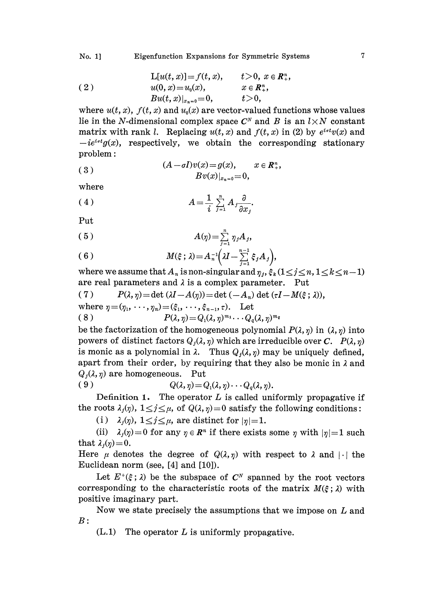(2) 
$$
L[u(t, x)] = f(t, x), \t t > 0, x \in \mathbb{R}^{n}_{+},
$$

$$
u(0, x) = u_{0}(x), \t x \in \mathbb{R}^{n}_{+},
$$

$$
B u(t, x)|_{x_{n}=0} = 0, \t t > 0,
$$

where  $u(t, x)$ ,  $f(t, x)$  and  $u_0(x)$  are vector-valued functions whose values lie in the N-dimensional complex space  $C^N$  and B is an  $l \times N$  constant matrix with rank l. Replacing  $u(t, x)$  and  $f(t, x)$  in (2) by  $e^{i \sigma t} v(x)$  and  $-ie^{i\alpha t}g(x)$ , respectively, we obtain the corresponding stationary problem:

(3) 
$$
(A - \sigma I)v(x) = g(x), \qquad x \in \mathbb{R}^n_+,
$$

$$
Bv(x)|_{x_n = 0} = 0,
$$

where

$$
(4) \hspace{3.1em} A = \frac{1}{i} \sum_{j=1}^{n} A_j \frac{\partial}{\partial x_j}.
$$

Put

$$
(5) \t A(\eta) = \sum_{j=1}^n \eta_j A_j,
$$

(6) 
$$
M(\xi; \lambda) = A_n^{-1} \Big( \lambda I - \sum_{j=1}^{n-1} \xi_j A_j \Big),
$$

where we assume that  $A_n$  is non-singular and  $\eta_j, \xi_k$  ( $1\leq j\leq n, 1\leq k\leq n$  $n-1$ are real parameters and  $\lambda$  is a complex parameter. Put

(7) 
$$
P(\lambda, \eta) = \det (\lambda I - A(\eta)) = \det (-A_n) \det (\tau I - M(\xi; \lambda)),
$$

where 
$$
\eta = (\eta_1, \dots, \eta_n) = (\xi_1, \dots, \xi_{n-1}, \tau)
$$
. Let  
\n(8)  $P(\lambda, \eta) = Q_1(\lambda, \eta)^{m_1} \dots Q_q(\lambda, \eta)^{m_q}$ 

$$
(8) \tP(\lambda, \eta) = Q_1(\lambda, \eta)^{m_1} \cdots Q_q(\lambda, \eta)^m
$$

where  $\eta = (\eta_1, \dots, \eta_n) = (\xi_1, \dots, \xi_{n-1}, \tau)$ . Let<br>
(8)  $P(\lambda, \eta) = Q_1(\lambda, \eta)^{m_1} \cdots Q_q(\lambda, \eta)^{m_q}$ <br>
be the factorization of the homogeneous polynomial  $P(\lambda, \eta)$  in  $(\lambda, \eta)$  into powers of distinct factors  $Q_i(\lambda, \eta)$  which are irreducible over C.  $P(\lambda, \eta)$ is monic as a polynomial in  $\lambda$ . Thus  $Q_i(\lambda, \eta)$  may be uniquely defined, apart from their order, by requiring that they also be monic in  $\lambda$  and  $Q_i(\lambda, \eta)$  are homogeneous. Put

$$
(9) \tQ(\lambda, \eta) = Q_1(\lambda, \eta) \cdots Q_q(\lambda, \eta).
$$

Definition 1. The operator  $L$  is called uniformly propagative if the roots  $\lambda_j(\eta)$ ,  $1 \leq j \leq \mu$ , of  $Q(\lambda, \eta) = 0$  satisfy the following conditions:

(i)  $\lambda_j(\eta)$ ,  $1 \leq j \leq \mu$ , are distinct for  $|\eta|=1$ .

(ii)  $\lambda_j(\eta)=0$  for any  $\eta \in \mathbb{R}^n$  if there exists some  $\eta$  with  $|\eta|=1$  such that  $\lambda_i(\eta)=0$ .

Here  $\mu$  denotes the degree of  $Q(\lambda,\eta)$  with respect to  $\lambda$  and  $|\cdot|$  the Euclidean norm (see, [4] and [10]).

Let  $E^{\dagger}(\xi; \lambda)$  be the subspace of  $C^N$  spanned by the root vectors corresponding to the characteristic roots of the matrix  $M(\xi; \lambda)$  with positive imaginary part.

Now we state precisely the assumptions that we impose on  $L$  and  $B$ :

 $(L.1)$  The operator L is uniformly propagative.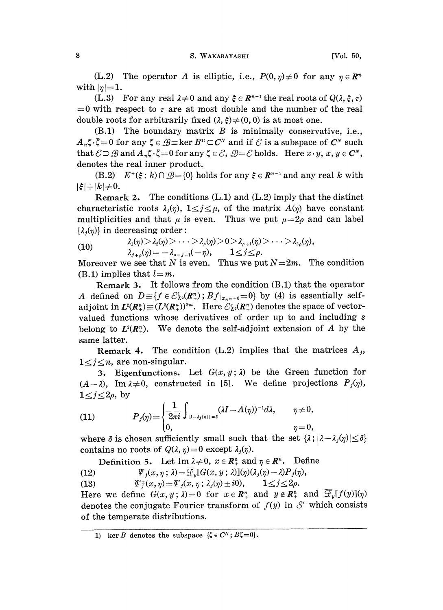(L.2) The operator A is elliptic, i.e.,  $P(0, \eta) \neq 0$  for any  $\eta \in \mathbb{R}^n$ with  $|\eta| = 1$ .

(L.3) For any real  $\lambda \neq 0$  and any  $\xi \in \mathbb{R}^{n-1}$  the real roots of  $Q(\lambda, \xi, \tau)$ (L.3) For any real  $\lambda \neq 0$  and any  $\xi \in \mathbb{R}^{n-1}$  the real roots of  $Q(\lambda, \xi, \tau)$ <br>= 0 with respect to  $\tau$  are at most double and the number of the real double roots for arbitrarily fixed  $(\lambda, \xi) \neq (0, 0)$  is at most one.

 $(B.1)$  The boundary matrix  $B$  is minimally conservative, i.e.,  $A_n \zeta \cdot \bar{\zeta} = 0$  for any  $\zeta \in \mathcal{B}$  = ker  $B^0 \subset C^N$  and if  $\mathcal C$  is a subspace of  $C^N$  such that  $\mathcal{E} \supseteq \mathcal{B}$  and  $A_n \zeta \cdot \bar{\zeta} = 0$  for any  $\zeta \in \mathcal{E}$ ,  $\mathcal{B} = \mathcal{E}$  holds. Here  $x \cdot y$ ,  $x, y \in C^N$ , denotes the real inner product.

(B.2)  $E^+(\xi : k) \cap \mathcal{B} = \{0\}$  holds for any  $\xi \in \mathbb{R}^{n-1}$  and any real k with  $k \neq 0$ .  $|\xi| + |k| \neq 0.$ 

Remark 2. The conditions (L.1) and (L.2) imply that the distinct characteristic roots  $\lambda_i(\eta)$ ,  $1 \leq j \leq \mu$ , of the matrix  $A(\eta)$  have constant multiplicities and that  $\mu$  is even. Thus we put  $\mu=2\rho$  and can label  $\{\lambda_i(\eta)\}\$ in decreasing order:

(10) 
$$
\lambda_1(\eta) > \lambda_2(\eta) > \cdots > \lambda_\rho(\eta) > 0 > \lambda_{\rho+1}(\eta) > \cdots > \lambda_{2\rho}(\eta),
$$

$$
\lambda_{j+\rho}(\eta) = -\lambda_{\rho-j+1}(-\eta), \qquad 1 \le j \le \rho.
$$

Moreover we see that N is even. Thus we put  $N=2m$ . The condition (B.1) implies that  $l=m$ .

Remark 3. It follows from the condition (B.1) that the operator A defined on  $D = \{f \in \mathcal{C}_{L^2}^1(\mathbb{R}^n) : Bf|_{x_{n+1}} = 0\}$  by (4) is essentially selfadjoint in  $L^2(R^n_+) \equiv (L^2(R^n_+))^{2m}$ . Here  $\mathcal{E}_{L^2}^s(R^n_+)$  denotes the space of vectorvalued functions whose derivatives of order up to and including <sup>s</sup> belong to  $L^2(R_+^n)$ . We denote the self-adjoint extension of A by the same latter.

**Remark 4.** The condition  $(L.2)$  implies that the matrices  $A_i$ ,  $1 \leq j \leq n$ , are non-singular.

3. Eigenfunctions. Let  $G(x, y; \lambda)$  be the Green function for  $(A-\lambda)$ , Im $\lambda \neq 0$ , constructed in [5]. We define projections  $P_{j}(\eta)$ ,  $1 \leq j \leq 2\rho$ , by

(11) 
$$
P_j(\eta) = \begin{cases} \frac{1}{2\pi i} \int_{| \lambda - \lambda_j(\eta) | = \delta} (\lambda I - A(\eta))^{-1} d\lambda, & \eta \neq 0, \\ 0, & \eta = 0, \end{cases}
$$

where  $\delta$  is chosen sufficiently small such that the set  $\{\lambda; |\lambda - \lambda_i(\eta)| \leq \delta\}$ contains no roots of  $Q(\lambda, \eta) = 0$  except  $\lambda_i(\eta)$ .

Definition 5. Let Im  $\lambda \neq 0$ ,  $x \in \mathbb{R}^n$  and  $\eta \in \mathbb{R}^n$ . Define

(12)  $\psi_i(x, \eta; \lambda) = \overline{\mathcal{F}}_v[G(x, y; \lambda)](\eta)(\lambda_i(\eta)-\lambda)P_i(\eta),$ 

(13)  $\psi^*_i(x, \eta) = \psi_j(x, \eta; \lambda_j(\eta) \pm i0), \qquad 1 \leq j \leq 2\rho.$ 

Here we define  $G(x, y; \lambda) = 0$  for  $x \in \mathbb{R}^n_+$  and  $y \notin \mathbb{R}^n_+$  and  $\mathscr{F}_y[f(y)](\eta)$ denotes the conjugate Fourier transform of  $f(y)$  in  $\mathcal{S}'$  which consists of the temperate distributions.

<sup>1)</sup> ker B denotes the subspace  $\{\zeta \in C^N; B \zeta = 0\}.$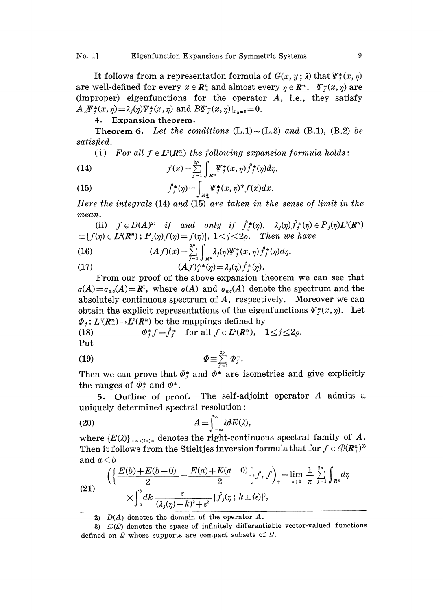It follows from a representation formula of  $G(x, y; \lambda)$  that  $\psi^*(x, \eta)$ are well-defined for every  $x \in \mathbb{R}^n$  and almost every  $\eta \in \mathbb{R}^n$ .  $\psi_i^*(x, \eta)$  are (improper) eigenfunctions for the operator  $A$ , i.e., they satisfy  $A_x \Psi_i^{\pm}(x, \eta) = \lambda_i(\eta) \Psi_i^{\pm}(x, \eta)$  and  $B \Psi_i^{\pm}(x, \eta)|_{x_n=0} = 0$ .

## 4. Expansion theorem.

**Theorem 6.** Let the conditions  $(L.1) \sim (L.3)$  and  $(B.1)$ ,  $(B.2)$  be satisfied.

(i) For all  $f \in L^2(\mathbb{R}^n_+)$  the following expansion formula holds:

(14) 
$$
f(x) = \sum_{j=1}^{2\rho} \int_{R^n} \Psi_j^*(x,\eta) \hat{f}_j^*(\eta) d\eta,
$$

(15) 
$$
\hat{f}_j^{\pm}(\eta) = \int_{R_+^n} \Psi_j^{\pm}(x, \eta)^* f(x) dx.
$$

Here the integrals (14) and (15) are taken in the sense of limit in the mean.

(ii)  $f \in D(A)^{2}$  if and only if  $\hat{f}_j^{\pm}(\eta)$ ,  $\lambda_j(\eta) \hat{f}_j^{\pm}(\eta) \in P_j(\eta) L^2(\mathbb{R}^n)$  $\equiv \{f(\eta) \in L^2(\mathbb{R}^n) : P_j(\eta)f(\eta) = f(\eta)\}, \ 1 \leq j \leq 2\rho.$  Then we have

(16) 
$$
(Af)(x) = \sum_{j=1}^{2\rho} \int_{R^n} \lambda_j(\eta) \Psi_j^{\pm}(x, \eta) \hat{f}_j^{\pm}(\eta) d\eta,
$$

(17) 
$$
(Af)^{\wedge +}_{j}(p) = \lambda_{j}(p)\hat{f}^{+}_{j}(p).
$$
From our proof of the above expression the

From our proof of the above expansion theorem we can see that  $\sigma(A) = \sigma_{ac}(A) = \mathbb{R}^{1}$ , where  $\sigma(A)$  and  $\sigma_{ac}(A)$  denote the spectrum and the absolutely continuous spectrum of A, respectively. Moreover we can obtain the explicit representations of the eigenfunctions  $\psi^*_{i}(x, \eta)$ . Let  $\Phi_j: L^2(\mathbb{R}^n_+) \to L^2(\mathbb{R}^n)$  be the mappings defined by<br>
(18)  $\Phi_j^* f = \hat{f}_j^*$  for all  $f \in L^2(\mathbb{R}^n_+), \quad 1 \leq j \leq 2\rho$ .

(18) 
$$
\Phi_j^* f = \hat{f}_j^* \quad \text{for all } f \in L^2(\mathbb{R}^n_+), \quad 1 \leq j \leq 2\rho.
$$

Put

$$
\Phi \equiv \sum_{j=1}^{2\rho} \Phi_j^{\pm}.
$$

Then we can prove that  $\Phi_j^*$  and  $\Phi^*$  are isometries and give explicitly the ranges of  $\Phi_j^*$  and  $\Phi^*$ .<br>5. Outline of proof. The self-adjoint operator A admits a the ranges of  $\Phi_i^{\pm}$  and  $\Phi^{\pm}$ .

5. Outline of proof. The self-adjoint operator A admits <sup>a</sup> uniquely determined spectral resolution:

(20) 
$$
A = \int_{-\infty}^{\infty} \lambda dE(\lambda),
$$

where  ${E(\lambda)}_{-\infty < \lambda < \infty}$  denotes the right-continuous spectral family of A. Then it follows from the Stieltjes inversion formula that for  $f \in \mathcal{D}(R_+^n)^3$ and  $a\leq b$ 

(21) 
$$
\left\{ \left\{ \frac{E(b) + E(b-0)}{2} - \frac{E(a) + E(a-0)}{2} \right\} f, f \right\}_{+} = \lim_{\epsilon \to 0} \frac{1}{\pi} \sum_{j=1}^{2\rho} \int_{R^n} d\eta
$$

$$
\times \int_a^b dk \frac{\varepsilon}{(\lambda_j(\eta) - k)^2 + \varepsilon^2} |\hat{f}_j(\eta; k \pm i\varepsilon)|^2,
$$

2)  $D(A)$  denotes the domain of the operator  $A$ .

3)  $\mathcal{D}(\Omega)$  denotes the space of infinitely differentiable vector-valued functions defined on  $\Omega$  whose supports are compact subsets of  $\Omega$ .